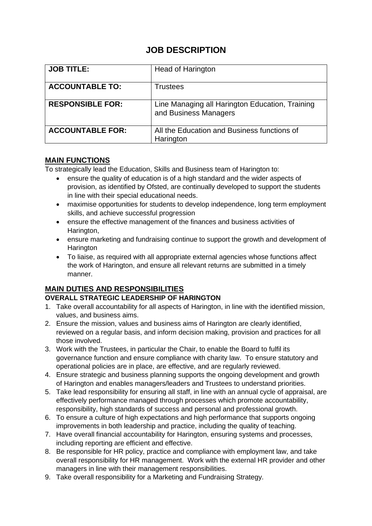# **JOB DESCRIPTION**

| <b>JOB TITLE:</b>       | Head of Harington                                                        |
|-------------------------|--------------------------------------------------------------------------|
| <b>ACCOUNTABLE TO:</b>  | Trustees                                                                 |
| <b>RESPONSIBLE FOR:</b> | Line Managing all Harington Education, Training<br>and Business Managers |
| <b>ACCOUNTABLE FOR:</b> | All the Education and Business functions of<br>Harington                 |

## **MAIN FUNCTIONS**

To strategically lead the Education, Skills and Business team of Harington to:

- ensure the quality of education is of a high standard and the wider aspects of provision, as identified by Ofsted, are continually developed to support the students in line with their special educational needs.
- maximise opportunities for students to develop independence, long term employment skills, and achieve successful progression
- ensure the effective management of the finances and business activities of Harington,
- ensure marketing and fundraising continue to support the growth and development of **Harington**
- To liaise, as required with all appropriate external agencies whose functions affect the work of Harington, and ensure all relevant returns are submitted in a timely manner.

## **MAIN DUTIES AND RESPONSIBILITIES**

## **OVERALL STRATEGIC LEADERSHIP OF HARINGTON**

- 1. Take overall accountability for all aspects of Harington, in line with the identified mission, values, and business aims.
- 2. Ensure the mission, values and business aims of Harington are clearly identified, reviewed on a regular basis, and inform decision making, provision and practices for all those involved.
- 3. Work with the Trustees, in particular the Chair, to enable the Board to fulfil its governance function and ensure compliance with charity law. To ensure statutory and operational policies are in place, are effective, and are regularly reviewed.
- 4. Ensure strategic and business planning supports the ongoing development and growth of Harington and enables managers/leaders and Trustees to understand priorities.
- 5. Take lead responsibility for ensuring all staff, in line with an annual cycle of appraisal, are effectively performance managed through processes which promote accountability, responsibility, high standards of success and personal and professional growth.
- 6. To ensure a culture of high expectations and high performance that supports ongoing improvements in both leadership and practice, including the quality of teaching.
- 7. Have overall financial accountability for Harington, ensuring systems and processes, including reporting are efficient and effective.
- 8. Be responsible for HR policy, practice and compliance with employment law, and take overall responsibility for HR management. Work with the external HR provider and other managers in line with their management responsibilities.
- 9. Take overall responsibility for a Marketing and Fundraising Strategy.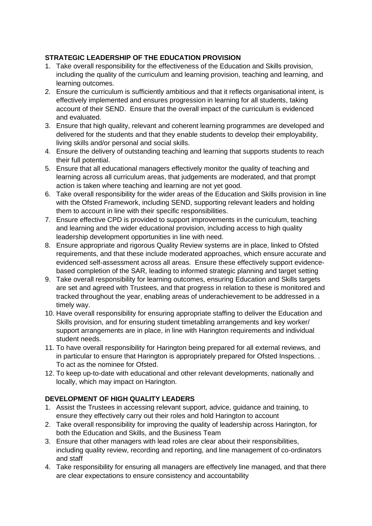### **STRATEGIC LEADERSHIP OF THE EDUCATION PROVISION**

- 1. Take overall responsibility for the effectiveness of the Education and Skills provision, including the quality of the curriculum and learning provision, teaching and learning, and learning outcomes.
- 2. Ensure the curriculum is sufficiently ambitious and that it reflects organisational intent, is effectively implemented and ensures progression in learning for all students, taking account of their SEND. Ensure that the overall impact of the curriculum is evidenced and evaluated.
- 3. Ensure that high quality, relevant and coherent learning programmes are developed and delivered for the students and that they enable students to develop their employability, living skills and/or personal and social skills.
- 4. Ensure the delivery of outstanding teaching and learning that supports students to reach their full potential.
- 5. Ensure that all educational managers effectively monitor the quality of teaching and learning across all curriculum areas, that judgements are moderated, and that prompt action is taken where teaching and learning are not yet good.
- 6. Take overall responsibility for the wider areas of the Education and Skills provision in line with the Ofsted Framework, including SEND, supporting relevant leaders and holding them to account in line with their specific responsibilities.
- 7. Ensure effective CPD is provided to support improvements in the curriculum, teaching and learning and the wider educational provision, including access to high quality leadership development opportunities in line with need.
- 8. Ensure appropriate and rigorous Quality Review systems are in place, linked to Ofsted requirements, and that these include moderated approaches, which ensure accurate and evidenced self-assessment across all areas. Ensure these effectively support evidencebased completion of the SAR, leading to informed strategic planning and target setting
- 9. Take overall responsibility for learning outcomes, ensuring Education and Skills targets are set and agreed with Trustees, and that progress in relation to these is monitored and tracked throughout the year, enabling areas of underachievement to be addressed in a timely way.
- 10. Have overall responsibility for ensuring appropriate staffing to deliver the Education and Skills provision, and for ensuring student timetabling arrangements and key worker/ support arrangements are in place, in line with Harington requirements and individual student needs.
- 11. To have overall responsibility for Harington being prepared for all external reviews, and in particular to ensure that Harington is appropriately prepared for Ofsted Inspections. . To act as the nominee for Ofsted.
- 12. To keep up-to-date with educational and other relevant developments, nationally and locally, which may impact on Harington.

#### **DEVELOPMENT OF HIGH QUALITY LEADERS**

- 1. Assist the Trustees in accessing relevant support, advice, guidance and training, to ensure they effectively carry out their roles and hold Harington to account
- 2. Take overall responsibility for improving the quality of leadership across Harington, for both the Education and Skills, and the Business Team
- 3. Ensure that other managers with lead roles are clear about their responsibilities, including quality review, recording and reporting, and line management of co-ordinators and staff
- 4. Take responsibility for ensuring all managers are effectively line managed, and that there are clear expectations to ensure consistency and accountability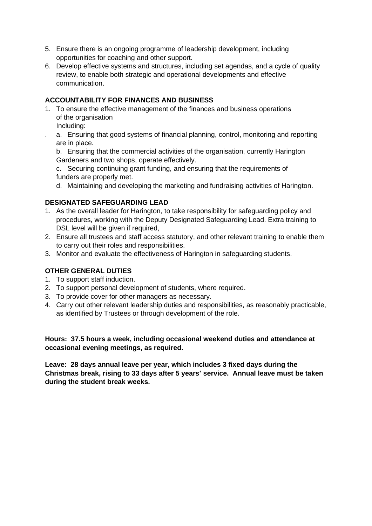- 5. Ensure there is an ongoing programme of leadership development, including opportunities for coaching and other support.
- 6. Develop effective systems and structures, including set agendas, and a cycle of quality review, to enable both strategic and operational developments and effective communication.

### **ACCOUNTABILITY FOR FINANCES AND BUSINESS**

- 1. To ensure the effective management of the finances and business operations of the organisation
	- Including:
	- . a. Ensuring that good systems of financial planning, control, monitoring and reporting are in place.

b. Ensuring that the commercial activities of the organisation, currently Harington Gardeners and two shops, operate effectively.

c. Securing continuing grant funding, and ensuring that the requirements of funders are properly met.

d. Maintaining and developing the marketing and fundraising activities of Harington.

#### **DESIGNATED SAFEGUARDING LEAD**

- 1. As the overall leader for Harington, to take responsibility for safeguarding policy and procedures, working with the Deputy Designated Safeguarding Lead. Extra training to DSL level will be given if required,
- 2. Ensure all trustees and staff access statutory, and other relevant training to enable them to carry out their roles and responsibilities.
- 3. Monitor and evaluate the effectiveness of Harington in safeguarding students.

#### **OTHER GENERAL DUTIES**

- 1. To support staff induction.
- 2. To support personal development of students, where required.
- 3. To provide cover for other managers as necessary.
- 4. Carry out other relevant leadership duties and responsibilities, as reasonably practicable, as identified by Trustees or through development of the role.

**Hours: 37.5 hours a week, including occasional weekend duties and attendance at occasional evening meetings, as required.** 

**Leave: 28 days annual leave per year, which includes 3 fixed days during the Christmas break, rising to 33 days after 5 years' service. Annual leave must be taken during the student break weeks.**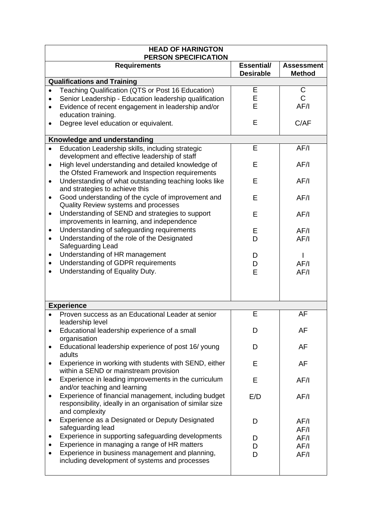| <b>HEAD OF HARINGTON</b><br><b>PERSON SPECIFICATION</b> |                                                                                            |                                |                                    |  |  |
|---------------------------------------------------------|--------------------------------------------------------------------------------------------|--------------------------------|------------------------------------|--|--|
|                                                         | <b>Requirements</b>                                                                        | Essential/<br><b>Desirable</b> | <b>Assessment</b><br><b>Method</b> |  |  |
| <b>Qualifications and Training</b>                      |                                                                                            |                                |                                    |  |  |
| ٠                                                       | Teaching Qualification (QTS or Post 16 Education)                                          | Ε                              | C                                  |  |  |
|                                                         | Senior Leadership - Education leadership qualification                                     | E                              | Ć                                  |  |  |
| $\bullet$                                               | Evidence of recent engagement in leadership and/or                                         | E                              | AF/I                               |  |  |
|                                                         | education training.<br>Degree level education or equivalent.                               | E                              | C/AF                               |  |  |
|                                                         | Knowledge and understanding                                                                |                                |                                    |  |  |
|                                                         | Education Leadership skills, including strategic                                           | E                              | AF/I                               |  |  |
|                                                         | development and effective leadership of staff                                              |                                |                                    |  |  |
| $\bullet$                                               | High level understanding and detailed knowledge of                                         | E                              | AF/I                               |  |  |
|                                                         | the Ofsted Framework and Inspection requirements                                           |                                |                                    |  |  |
| $\bullet$                                               | Understanding of what outstanding teaching looks like                                      | Е                              | AF/I                               |  |  |
|                                                         | and strategies to achieve this                                                             |                                |                                    |  |  |
| $\bullet$                                               | Good understanding of the cycle of improvement and<br>Quality Review systems and processes | E                              | AF/I                               |  |  |
| $\bullet$                                               | Understanding of SEND and strategies to support                                            | E                              | AF/I                               |  |  |
|                                                         | improvements in learning, and independence                                                 |                                |                                    |  |  |
|                                                         | Understanding of safeguarding requirements                                                 | E                              | AF/I                               |  |  |
| $\bullet$                                               | Understanding of the role of the Designated                                                | D                              | AF/I                               |  |  |
|                                                         | Safeguarding Lead                                                                          |                                |                                    |  |  |
| ٠                                                       | Understanding of HR management                                                             | D                              |                                    |  |  |
|                                                         | Understanding of GDPR requirements                                                         | D                              | AF/I                               |  |  |
|                                                         | Understanding of Equality Duty.                                                            | E                              | AF/I                               |  |  |
|                                                         |                                                                                            |                                |                                    |  |  |
|                                                         |                                                                                            |                                |                                    |  |  |
|                                                         | <b>Experience</b>                                                                          |                                |                                    |  |  |
|                                                         | Proven success as an Educational Leader at senior                                          | E                              | AF                                 |  |  |
|                                                         | leadership level                                                                           |                                |                                    |  |  |
| ٠                                                       | Educational leadership experience of a small                                               | D                              | AF                                 |  |  |
|                                                         | organisation                                                                               |                                |                                    |  |  |
| ٠                                                       | Educational leadership experience of post 16/young                                         | D                              | AF                                 |  |  |
| ٠                                                       | adults<br>Experience in working with students with SEND, either                            | E                              | AF                                 |  |  |
|                                                         | within a SEND or mainstream provision                                                      |                                |                                    |  |  |
| $\bullet$                                               | Experience in leading improvements in the curriculum                                       | E                              | AF/I                               |  |  |
|                                                         | and/or teaching and learning                                                               |                                |                                    |  |  |
|                                                         | Experience of financial management, including budget                                       | E/D                            | AF/I                               |  |  |
|                                                         | responsibility, ideally in an organisation of similar size                                 |                                |                                    |  |  |
|                                                         | and complexity                                                                             |                                |                                    |  |  |
| ٠                                                       | Experience as a Designated or Deputy Designated<br>safeguarding lead                       | D                              | AF/I                               |  |  |
|                                                         | Experience in supporting safeguarding developments                                         |                                | AF/I                               |  |  |
|                                                         | Experience in managing a range of HR matters                                               | D<br>D                         | AF/I<br>AF/I                       |  |  |
|                                                         | Experience in business management and planning,                                            | D                              | AF/I                               |  |  |
|                                                         | including development of systems and processes                                             |                                |                                    |  |  |
|                                                         |                                                                                            |                                |                                    |  |  |